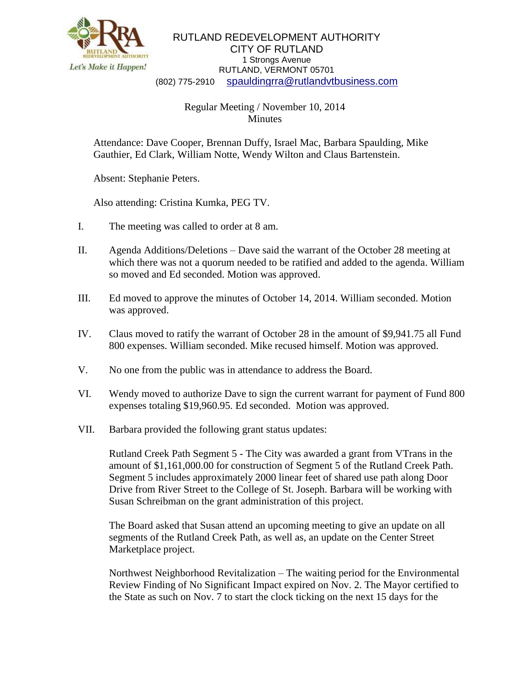

RUTLAND REDEVELOPMENT AUTHORITY CITY OF RUTLAND 1 Strongs Avenue RUTLAND, VERMONT 05701 (802) 775-2910 [spauldingrra@rutlandvtbusiness.com](mailto:allenrra@rutlandvtbusiness.com)

## Regular Meeting / November 10, 2014 Minutes

Attendance: Dave Cooper, Brennan Duffy, Israel Mac, Barbara Spaulding, Mike Gauthier, Ed Clark, William Notte, Wendy Wilton and Claus Bartenstein.

Absent: Stephanie Peters.

Also attending: Cristina Kumka, PEG TV.

- I. The meeting was called to order at 8 am.
- II. Agenda Additions/Deletions Dave said the warrant of the October 28 meeting at which there was not a quorum needed to be ratified and added to the agenda. William so moved and Ed seconded. Motion was approved.
- III. Ed moved to approve the minutes of October 14, 2014. William seconded. Motion was approved.
- IV. Claus moved to ratify the warrant of October 28 in the amount of \$9,941.75 all Fund 800 expenses. William seconded. Mike recused himself. Motion was approved.
- V. No one from the public was in attendance to address the Board.
- VI. Wendy moved to authorize Dave to sign the current warrant for payment of Fund 800 expenses totaling \$19,960.95. Ed seconded. Motion was approved.
- VII. Barbara provided the following grant status updates:

Rutland Creek Path Segment 5 - The City was awarded a grant from VTrans in the amount of \$1,161,000.00 for construction of Segment 5 of the Rutland Creek Path. Segment 5 includes approximately 2000 linear feet of shared use path along Door Drive from River Street to the College of St. Joseph. Barbara will be working with Susan Schreibman on the grant administration of this project.

The Board asked that Susan attend an upcoming meeting to give an update on all segments of the Rutland Creek Path, as well as, an update on the Center Street Marketplace project.

Northwest Neighborhood Revitalization – The waiting period for the Environmental Review Finding of No Significant Impact expired on Nov. 2. The Mayor certified to the State as such on Nov. 7 to start the clock ticking on the next 15 days for the